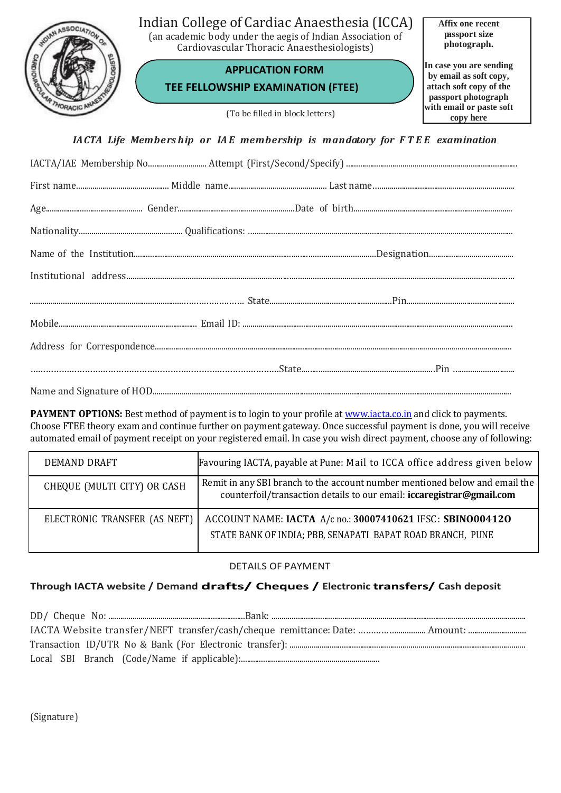

**PAYMENT OPTIONS:** Best method of payment is to login to your profile at **www.iacta.co.in** and click to payments. Choose FTEE theory exam and continue further on payment gateway. Once successful payment is done, you will receive automated email of payment receipt on your registered email. In case you wish direct payment, choose any of following:

| DEMAND DRAFT                  | Favouring IACTA, payable at Pune: Mail to ICCA office address given below                                                                            |
|-------------------------------|------------------------------------------------------------------------------------------------------------------------------------------------------|
| CHEQUE (MULTI CITY) OR CASH   | Remit in any SBI branch to the account number mentioned below and email the<br>counterfoil/transaction details to our email: iccaregistrar@gmail.com |
| ELECTRONIC TRANSFER (AS NEFT) | ACCOUNT NAME: IACTA A/c no.: 30007410621 IFSC: SBINO004120<br>STATE BANK OF INDIA; PBB, SENAPATI BAPAT ROAD BRANCH, PUNE                             |

## DETAILS OF PAYMENT

## **Through IACTA website / Demand drafts/ Cheques / Electronic transfers/ Cash deposit**

(Signature)